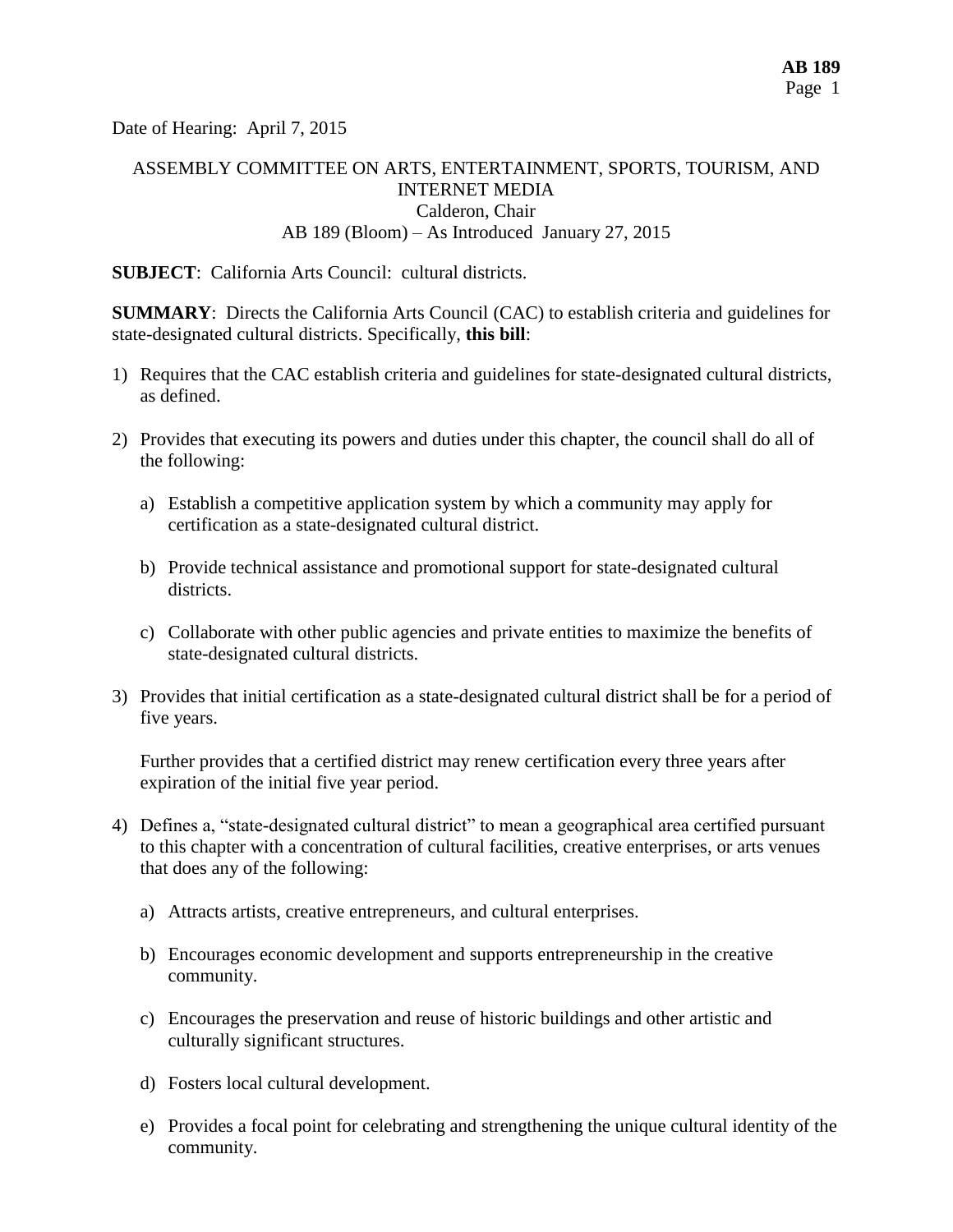Date of Hearing: April 7, 2015

# ASSEMBLY COMMITTEE ON ARTS, ENTERTAINMENT, SPORTS, TOURISM, AND INTERNET MEDIA Calderon, Chair AB 189 (Bloom) – As Introduced January 27, 2015

**SUBJECT**: California Arts Council: cultural districts.

**SUMMARY:** Directs the California Arts Council (CAC) to establish criteria and guidelines for state-designated cultural districts. Specifically, **this bill**:

- 1) Requires that the CAC establish criteria and guidelines for state-designated cultural districts, as defined.
- 2) Provides that executing its powers and duties under this chapter, the council shall do all of the following:
	- a) Establish a competitive application system by which a community may [apply for](http://lisprdweblb.calegis.net:7010/LISWeb/faces/bills/billdetail.xhtml) certification as a state-designated cultural district.
	- b) Provide [technical](http://lisprdweblb.calegis.net:7010/LISWeb/faces/bills/billdetail.xhtml) assistance and promotional support for state-designated cultural districts.
	- c) Collaborate with other public agencies and private entities to maximize the benefits of state-designated cultural districts.
- 3) Provides that initial certification as a state-designated cultural district shall be for a period of five years.

Further provides that a certified district may renew certification every three years after expiration of the initial five year period.

- 4) Defines a, "state-designated cultural district" to mean a geographical area certified pursuant to this chapter with a concentration of cultural facilities, creative enterprises, or arts venues that does any of the following:
	- a) Attracts artists, creative entrepreneurs, and cultural enterprises.
	- b) Encourages economic development and supports entrepreneurship in the creative community.
	- c) Encourages the preservation and reuse of historic buildings and other artistic and culturally significant structures.
	- d) Fosters local cultural development.
	- e) Provides a focal point for celebrating and strengthening the unique cultural identity of the community.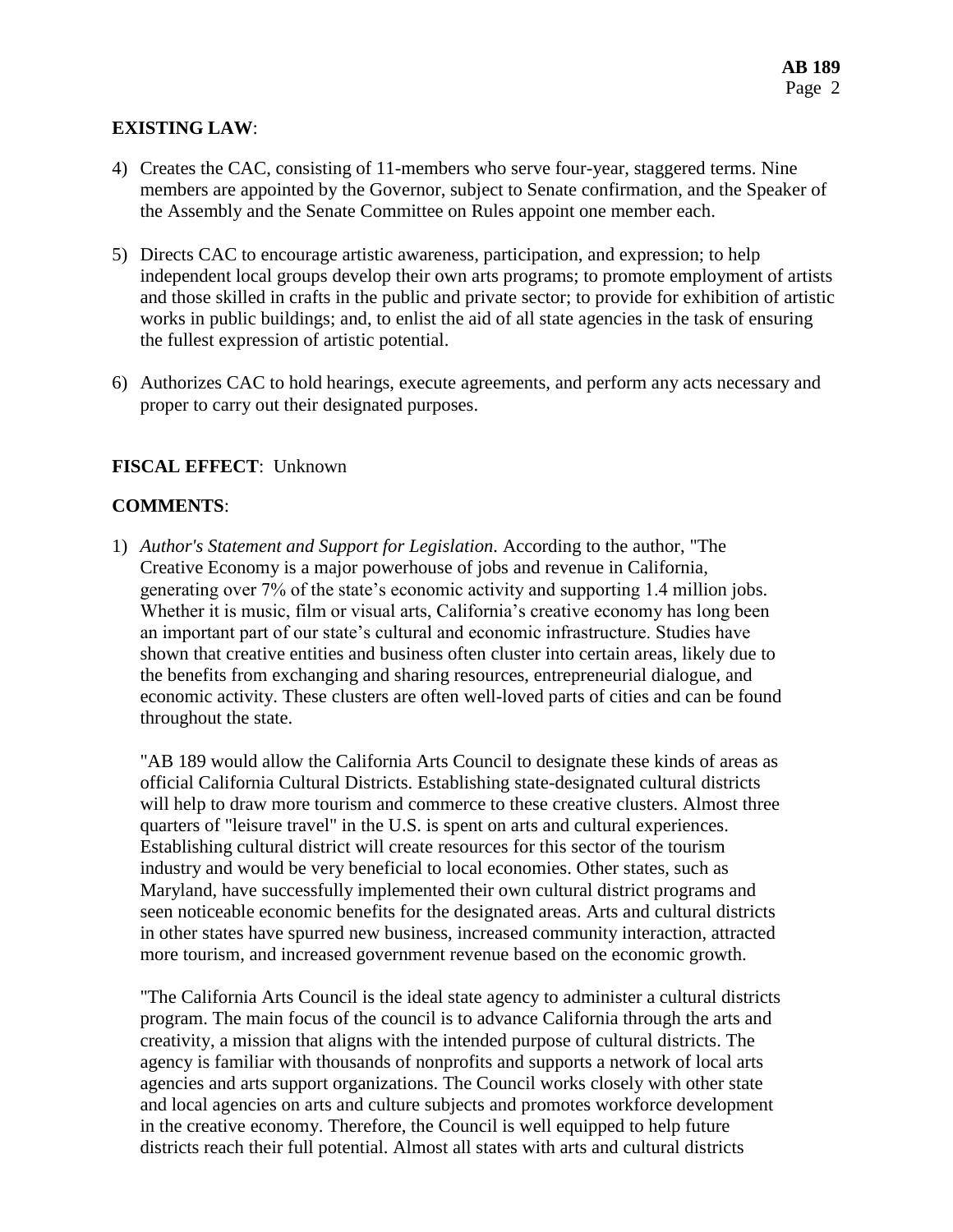# **EXISTING LAW**:

- 4) Creates the CAC, consisting of 11-members who serve four-year, staggered terms. Nine members are appointed by the Governor, subject to Senate confirmation, and the Speaker of the Assembly and the Senate Committee on Rules appoint one member each.
- 5) Directs CAC to encourage artistic awareness, participation, and expression; to help independent local groups develop their own arts programs; to promote employment of artists and those skilled in crafts in the public and private sector; to provide for exhibition of artistic works in public buildings; and, to enlist the aid of all state agencies in the task of ensuring the fullest expression of artistic potential.
- 6) Authorizes CAC to hold hearings, execute agreements, and perform any acts necessary and proper to carry out their designated purposes.

### **FISCAL EFFECT**: Unknown

### **COMMENTS**:

1) *Author's Statement and Support for Legislation.* According to the author, "The Creative Economy is a major powerhouse of jobs and revenue in California, generating over 7% of the state's economic activity and supporting 1.4 million jobs. Whether it is music, film or visual arts, California's creative economy has long been an important part of our state's cultural and economic infrastructure. Studies have shown that creative entities and business often cluster into certain areas, likely due to the benefits from exchanging and sharing resources, entrepreneurial dialogue, and economic activity. These clusters are often well-loved parts of cities and can be found throughout the state.

"AB 189 would allow the California Arts Council to designate these kinds of areas as official California Cultural Districts. Establishing state-designated cultural districts will help to draw more tourism and commerce to these creative clusters. Almost three quarters of "leisure travel" in the U.S. is spent on arts and cultural experiences. Establishing cultural district will create resources for this sector of the tourism industry and would be very beneficial to local economies. Other states, such as Maryland, have successfully implemented their own cultural district programs and seen noticeable economic benefits for the designated areas. Arts and cultural districts in other states have spurred new business, increased community interaction, attracted more tourism, and increased government revenue based on the economic growth.

"The California Arts Council is the ideal state agency to administer a cultural districts program. The main focus of the council is to advance California through the arts and creativity, a mission that aligns with the intended purpose of cultural districts. The agency is familiar with thousands of nonprofits and supports a network of local arts agencies and arts support organizations. The Council works closely with other state and local agencies on arts and culture subjects and promotes workforce development in the creative economy. Therefore, the Council is well equipped to help future districts reach their full potential. Almost all states with arts and cultural districts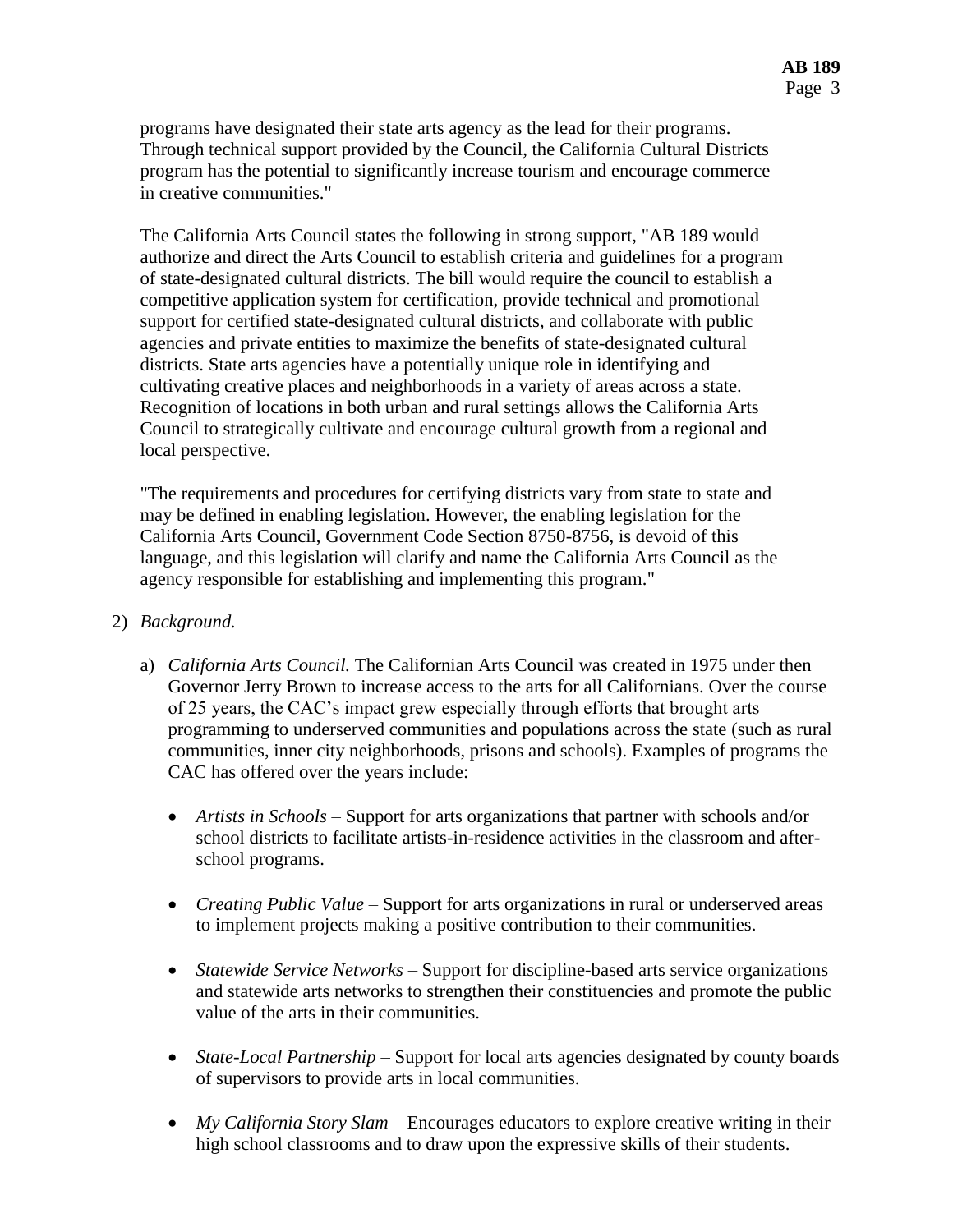programs have designated their state arts agency as the lead for their programs. Through technical support provided by the Council, the California Cultural Districts program has the potential to significantly increase tourism and encourage commerce in creative communities."

The California Arts Council states the following in strong support, "AB 189 would authorize and direct the Arts Council to establish criteria and guidelines for a program of state-designated cultural districts. The bill would require the council to establish a competitive application system for certification, provide technical and promotional support for certified state-designated cultural districts, and collaborate with public agencies and private entities to maximize the benefits of state-designated cultural districts. State arts agencies have a potentially unique role in identifying and cultivating creative places and neighborhoods in a variety of areas across a state. Recognition of locations in both urban and rural settings allows the California Arts Council to strategically cultivate and encourage cultural growth from a regional and local perspective.

"The requirements and procedures for certifying districts vary from state to state and may be defined in enabling legislation. However, the enabling legislation for the California Arts Council, Government Code Section 8750-8756, is devoid of this language, and this legislation will clarify and name the California Arts Council as the agency responsible for establishing and implementing this program."

### 2) *Background.*

- a) *California Arts Council.* The Californian Arts Council was created in 1975 under then Governor Jerry Brown to increase access to the arts for all Californians. Over the course of 25 years, the CAC's impact grew especially through efforts that brought arts programming to underserved communities and populations across the state (such as rural communities, inner city neighborhoods, prisons and schools). Examples of programs the CAC has offered over the years include:
	- *Artists in Schools* Support for arts organizations that partner with schools and/or school districts to facilitate artists-in-residence activities in the classroom and afterschool programs.
	- *Creating Public Value* Support for arts organizations in rural or underserved areas to implement projects making a positive contribution to their communities.
	- *Statewide Service Networks* Support for discipline-based arts service organizations and statewide arts networks to strengthen their constituencies and promote the public value of the arts in their communities.
	- *State-Local Partnership* Support for local arts agencies designated by county boards of supervisors to provide arts in local communities.
	- *My California Story Slam* Encourages educators to explore creative writing in their high school classrooms and to draw upon the expressive skills of their students.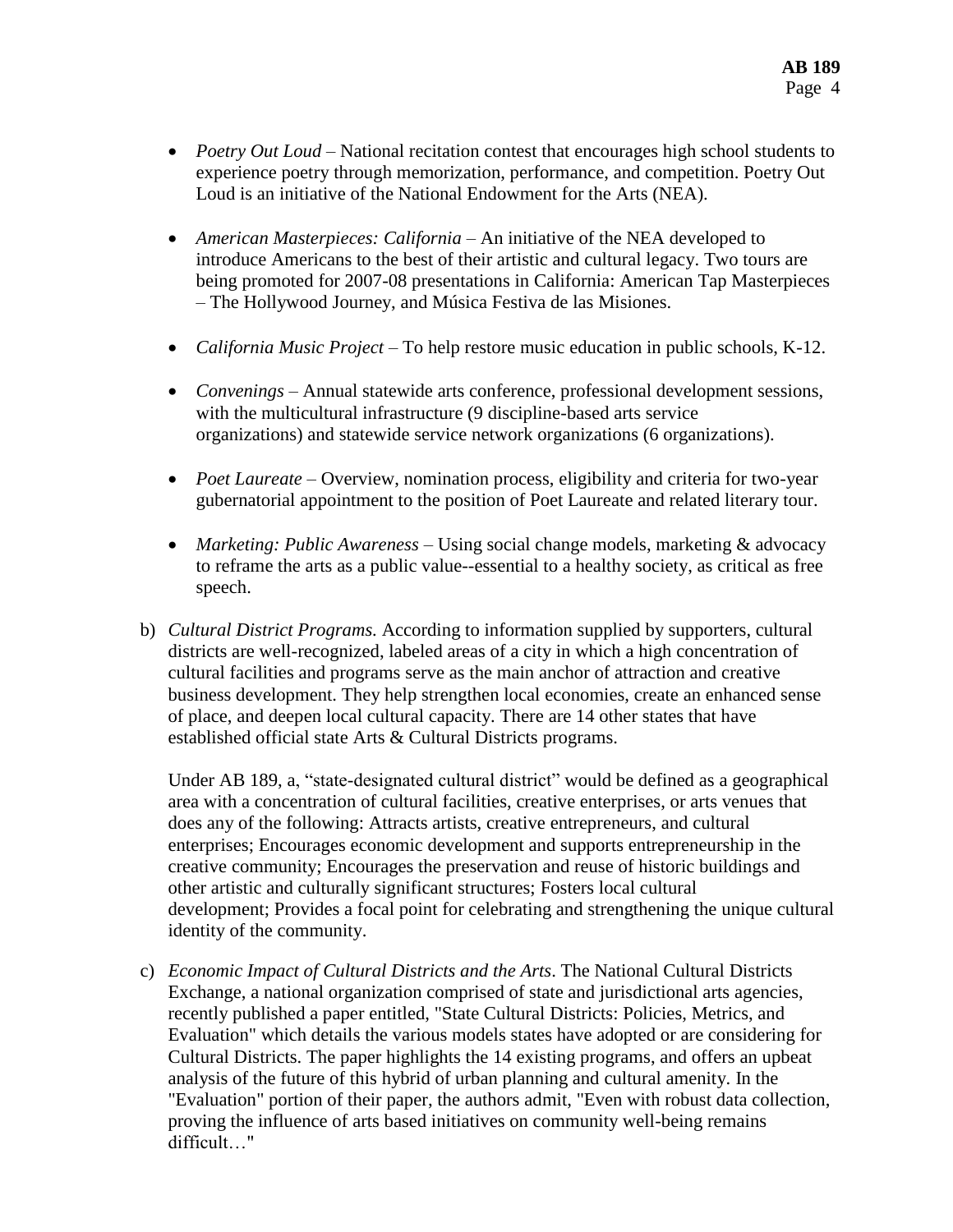- *Poetry Out Loud* National recitation contest that encourages high school students to experience poetry through memorization, performance, and competition. Poetry Out Loud is an initiative of the National Endowment for the Arts (NEA).
- *American Masterpieces: California* An initiative of the NEA developed to introduce Americans to the best of their artistic and cultural legacy. Two tours are being promoted for 2007-08 presentations in California: American Tap Masterpieces – The Hollywood Journey, and Música Festiva de las Misiones.
- *California Music Project* To help restore music education in public schools, K-12.
- *Convenings* Annual statewide arts conference, professional development sessions, with the multicultural infrastructure (9 discipline-based arts service organizations) and statewide service network organizations (6 organizations).
- *Poet Laureate* Overview, nomination process, eligibility and criteria for two-year gubernatorial appointment to the position of Poet Laureate and related literary tour.
- *Marketing: Public Awareness* Using social change models, marketing & advocacy to reframe the arts as a public value--essential to a healthy society, as critical as free speech.
- b) *Cultural District Programs.* According to information supplied by supporters, cultural districts are well-recognized, labeled areas of a city in which a high concentration of cultural facilities and programs serve as the main anchor of attraction and creative business development. They help strengthen local economies, create an enhanced sense of place, and deepen local cultural capacity. There are 14 other states that have established official state Arts & Cultural Districts programs.

Under AB 189, a, "state-designated cultural district" would be defined as a geographical area with a concentration of cultural facilities, creative enterprises, or arts venues that does any of the following: Attracts artists, creative entrepreneurs, and cultural enterprises; Encourages economic development and supports entrepreneurship in the creative community; Encourages the preservation and reuse of historic buildings and other artistic and culturally significant structures; Fosters local cultural development; Provides a focal point for celebrating and strengthening the unique cultural identity of the community.

c) *Economic Impact of Cultural Districts and the Arts*. The National Cultural Districts Exchange, a national organization comprised of state and jurisdictional arts agencies, recently published a paper entitled, "State Cultural Districts: Policies, Metrics, and Evaluation" which details the various models states have adopted or are considering for Cultural Districts. The paper highlights the 14 existing programs, and offers an upbeat analysis of the future of this hybrid of urban planning and cultural amenity. In the "Evaluation" portion of their paper, the authors admit, "Even with robust data collection, proving the influence of arts based initiatives on community well-being remains difficult…"